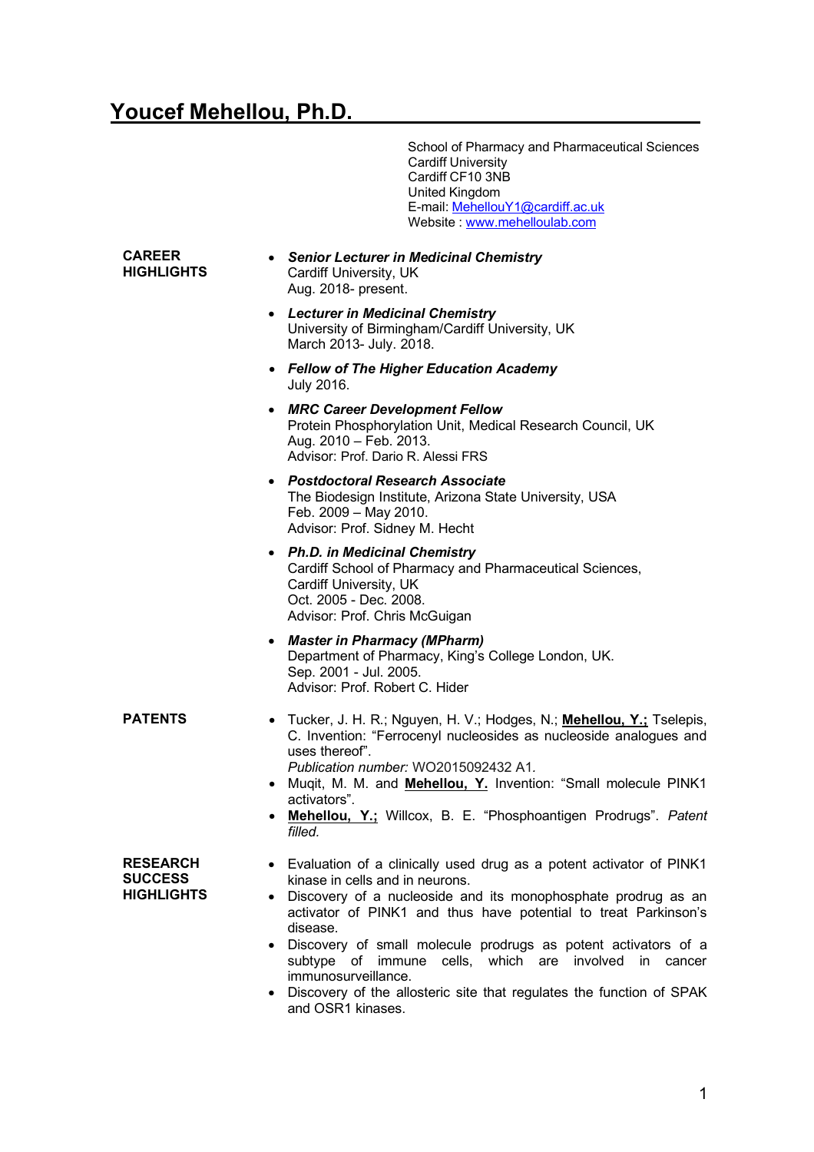## Youcef Mehellou, Ph.D.

 School of Pharmacy and Pharmaceutical Sciences **Cardiff University**  Cardiff CF10 3NB United Kingdom E-mail: <u>MehellouY1@cardiff.ac.uk</u> Website : www.mehelloulab.com

| <b>CAREER</b><br><b>HIGHLIGHTS</b>                     | • Senior Lecturer in Medicinal Chemistry<br>Cardiff University, UK<br>Aug. 2018- present.                                                                                                                                                                                                                                                                                                                                                                                           |
|--------------------------------------------------------|-------------------------------------------------------------------------------------------------------------------------------------------------------------------------------------------------------------------------------------------------------------------------------------------------------------------------------------------------------------------------------------------------------------------------------------------------------------------------------------|
|                                                        | • Lecturer in Medicinal Chemistry<br>University of Birmingham/Cardiff University, UK<br>March 2013- July. 2018.                                                                                                                                                                                                                                                                                                                                                                     |
|                                                        | • Fellow of The Higher Education Academy<br>July 2016.                                                                                                                                                                                                                                                                                                                                                                                                                              |
|                                                        | • MRC Career Development Fellow<br>Protein Phosphorylation Unit, Medical Research Council, UK<br>Aug. 2010 - Feb. 2013.<br>Advisor: Prof. Dario R. Alessi FRS                                                                                                                                                                                                                                                                                                                       |
|                                                        | • Postdoctoral Research Associate<br>The Biodesign Institute, Arizona State University, USA<br>Feb. 2009 - May 2010.<br>Advisor: Prof. Sidney M. Hecht                                                                                                                                                                                                                                                                                                                              |
|                                                        | • Ph.D. in Medicinal Chemistry<br>Cardiff School of Pharmacy and Pharmaceutical Sciences,<br>Cardiff University, UK<br>Oct. 2005 - Dec. 2008.<br>Advisor: Prof. Chris McGuigan                                                                                                                                                                                                                                                                                                      |
|                                                        | • Master in Pharmacy (MPharm)<br>Department of Pharmacy, King's College London, UK.<br>Sep. 2001 - Jul. 2005.<br>Advisor: Prof. Robert C. Hider                                                                                                                                                                                                                                                                                                                                     |
| <b>PATENTS</b>                                         | • Tucker, J. H. R.; Nguyen, H. V.; Hodges, N.; <b>Mehellou, Y.;</b> Tselepis,<br>C. Invention: "Ferrocenyl nucleosides as nucleoside analogues and<br>uses thereof".<br>Publication number: WO2015092432 A1.<br>• Muqit, M. M. and Mehellou, Y. Invention: "Small molecule PINK1<br>activators".<br>• Mehellou, Y.; Willcox, B. E. "Phosphoantigen Prodrugs". Patent<br>filled.                                                                                                     |
| <b>RESEARCH</b><br><b>SUCCESS</b><br><b>HIGHLIGHTS</b> | • Evaluation of a clinically used drug as a potent activator of PINK1<br>kinase in cells and in neurons.<br>Discovery of a nucleoside and its monophosphate prodrug as an<br>activator of PINK1 and thus have potential to treat Parkinson's<br>disease.<br>Discovery of small molecule prodrugs as potent activators of a<br>subtype of immune cells, which are involved in cancer<br>immunosurveillance.<br>Discovery of the ellectoric city that requisites the function of CDAK |

• Discovery of the allosteric site that regulates the function of SPAK and OSR1 kinases.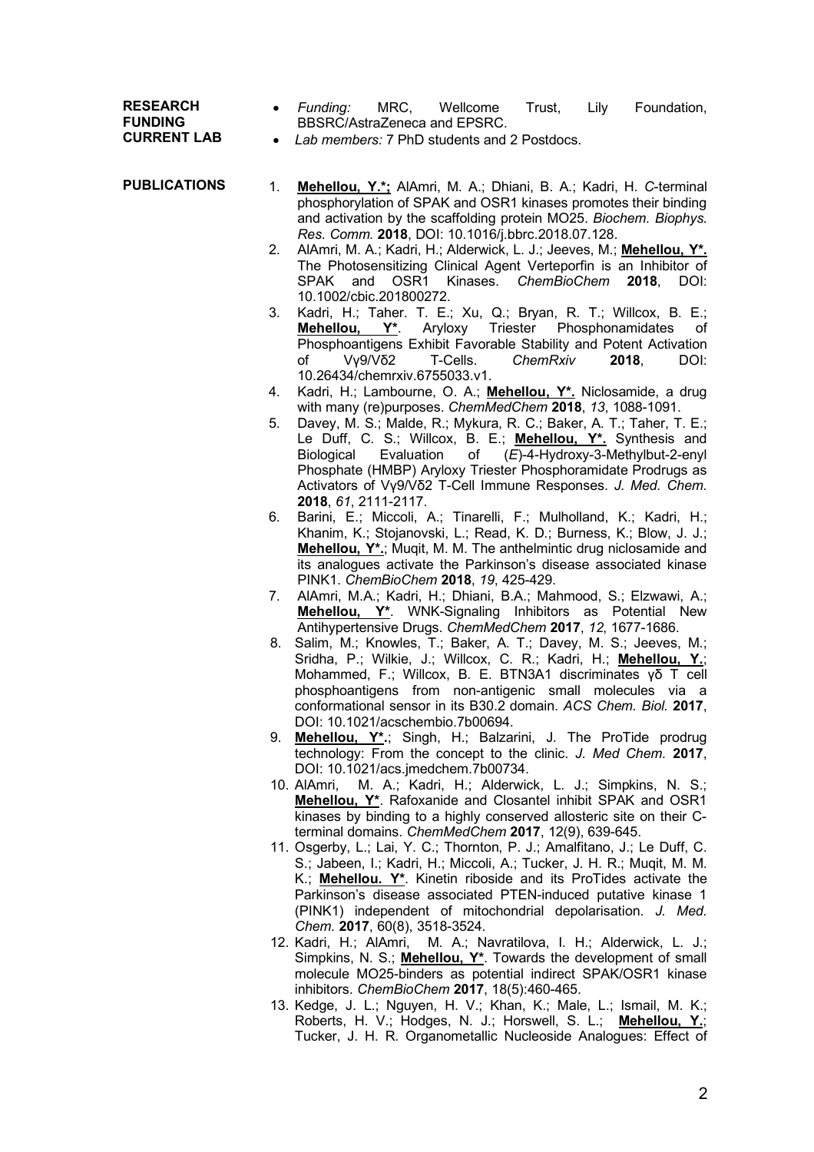**RESEARCH FUNDING CURRENT LAB**

- *Funding:* MRC, Wellcome Trust, Lily Foundation, BBSRC/AstraZeneca and EPSRC.
- *Lab members:* 7 PhD students and 2 Postdocs.
- **PUBLICATIONS**
	- 1. **Mehellou, Y.\*;** AlAmri, M. A.; Dhiani, B. A.; Kadri, H. *C*-terminal phosphorylation of SPAK and OSR1 kinases promotes their binding and activation by the scaffolding protein MO25. *Biochem. Biophys. Res. Comm.* **2018**, DOI: 10.1016/j.bbrc.2018.07.128.
		- 2. AlAmri, M. A.; Kadri, H.; Alderwick, L. J.; Jeeves, M.; **Mehellou, Y\*.** The Photosensitizing Clinical Agent Verteporfin is an Inhibitor of SPAK and OSR1 Kinases. *ChemBioChem* **2018**, DOI: 10.1002/cbic.201800272.
		- 3. Kadri, H.; Taher. T. E.; Xu, Q.; Bryan, R. T.; Willcox, B. E.;<br>**Mehellou, Y\***. Aryloxy Triester Phosphonamidates of **Mehellou, Y\***. Aryloxy Triester Phosphonamidates of Phosphoantigens Exhibit Favorable Stability and Potent Activation of Vγ9/Vδ2 T-Cells. *ChemRxiv* **2018**, DOI: 10.26434/chemrxiv.6755033.v1.
		- 4. Kadri, H.; Lambourne, O. A.; **Mehellou, Y\*.** Niclosamide, a drug with many (re)purposes. *ChemMedChem* **2018**, *13*, 1088-1091.
		- 5. Davey, M. S.; Malde, R.; Mykura, R. C.; Baker, A. T.; Taher, T. E.; Le Duff, C. S.; Willcox, B. E.; **Mehellou, Y<sup>\*</sup>.** Synthesis and Biological Evaluation of (E)-4-Hydroxy-3-Methylbut-2-envl Biological Evaluation of (*E*)-4-Hydroxy-3-Methylbut-2-enyl Phosphate (HMBP) Aryloxy Triester Phosphoramidate Prodrugs as Activators of Vγ9/Vδ2 T-Cell Immune Responses. *J. Med. Chem.* **2018**, *61*, 2111-2117.
		- 6. Barini, E.; Miccoli, A.; Tinarelli, F.; Mulholland, K.; Kadri, H.; Khanim, K.; Stojanovski, L.; Read, K. D.; Burness, K.; Blow, J. J.; **Mehellou, Y\*.**; Muqit, M. M. The anthelmintic drug niclosamide and its analogues activate the Parkinson's disease associated kinase PINK1. *ChemBioChem* **2018**, *19*, 425-429.
		- 7. AlAmri, M.A.; Kadri, H.; Dhiani, B.A.; Mahmood, S.; Elzwawi, A.; **Mehellou, Y\***. WNK-Signaling Inhibitors as Potential New Antihypertensive Drugs. *ChemMedChem* **2017**, *12*, 1677-1686.
		- 8. Salim, M.; Knowles, T.; Baker, A. T.; Davey, M. S.; Jeeves, M.; Sridha, P.; Wilkie, J.; Willcox, C. R.; Kadri, H.; **Mehellou, Y.**; Mohammed, F.; Willcox, B. E. BTN3A1 discriminates γδ T cell phosphoantigens from non-antigenic small molecules via a conformational sensor in its B30.2 domain. *ACS Chem. Biol.* **2017**, DOI: 10.1021/acschembio.7b00694.
		- 9. **Mehellou, Y\*.**; Singh, H.; Balzarini, J. The ProTide prodrug technology: From the concept to the clinic. *J. Med Chem.* **2017**, DOI: 10.1021/acs.jmedchem.7b00734.
		- 10. AlAmri, M. A.; Kadri, H.; Alderwick, L. J.; Simpkins, N. S.; **Mehellou, Y\***. Rafoxanide and Closantel inhibit SPAK and OSR1 kinases by binding to a highly conserved allosteric site on their Cterminal domains. *ChemMedChem* **2017**, 12(9), 639-645.
		- 11. Osgerby, L.; Lai, Y. C.; Thornton, P. J.; Amalfitano, J.; Le Duff, C. S.; Jabeen, I.; Kadri, H.; Miccoli, A.; Tucker, J. H. R.; Muqit, M. M. K.; **Mehellou. Y\***. Kinetin riboside and its ProTides activate the Parkinson's disease associated PTEN-induced putative kinase 1 (PINK1) independent of mitochondrial depolarisation. *J. Med. Chem.* **2017**, 60(8), 3518-3524.
		- 12. Kadri, H.; AlAmri, M. A.; Navratilova, I. H.; Alderwick, L. J.; Simpkins, N. S.; **Mehellou, Y\***. Towards the development of small molecule MO25-binders as potential indirect SPAK/OSR1 kinase inhibitors. *ChemBioChem* **2017**, 18(5):460-465.
		- 13. Kedge, J. L.; Nguyen, H. V.; Khan, K.; Male, L.; Ismail, M. K.; Roberts, H. V.; Hodges, N. J.; Horswell, S. L.; **Mehellou, Y.**; Tucker, J. H. R. Organometallic Nucleoside Analogues: Effect of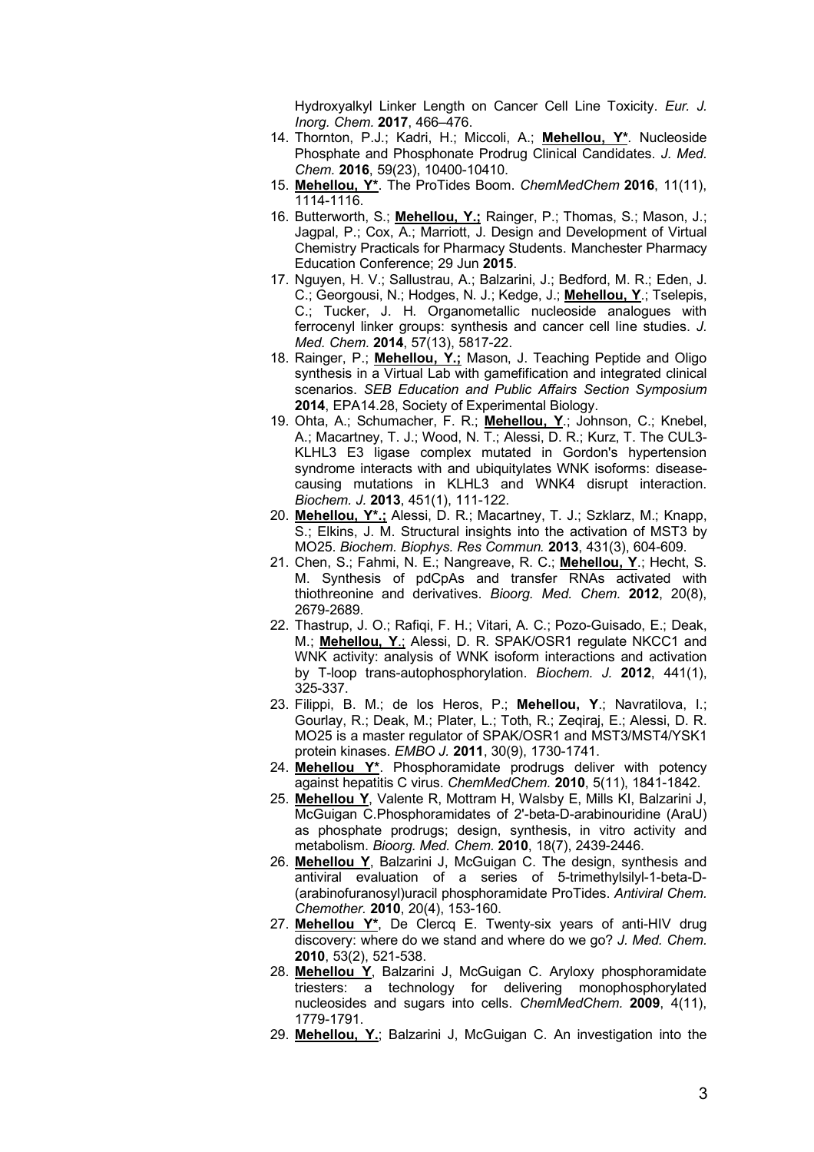Hydroxyalkyl Linker Length on Cancer Cell Line Toxicity. *Eur. J. Inorg. Chem.* **2017**, 466–476.

- 14. Thornton, P.J.; Kadri, H.; Miccoli, A.; **Mehellou, Y\***. Nucleoside Phosphate and Phosphonate Prodrug Clinical Candidates. *J. Med. Chem.* **2016**, 59(23), 10400-10410.
- 15. **Mehellou, Y\***. The ProTides Boom. *ChemMedChem* **2016**, 11(11), 1114-1116.
- 16. Butterworth, S.; **Mehellou, Y.;** Rainger, P.; Thomas, S.; Mason, J.; Jagpal, P.; Cox, A.; Marriott, J. Design and Development of Virtual Chemistry Practicals for Pharmacy Students. Manchester Pharmacy Education Conference; 29 Jun **2015**.
- 17. Nguyen, H. V.; Sallustrau, A.; Balzarini, J.; Bedford, M. R.; Eden, J. C.; Georgousi, N.; Hodges, N. J.; Kedge, J.; **Mehellou, Y**.; Tselepis, C.; Tucker, J. H. Organometallic nucleoside analogues with ferrocenyl linker groups: synthesis and cancer cell line studies. *J. Med. Chem.* **2014**, 57(13), 5817-22.
- 18. Rainger, P.; **Mehellou, Y.;** Mason, J. Teaching Peptide and Oligo synthesis in a Virtual Lab with gamefification and integrated clinical scenarios. *SEB Education and Public Affairs Section Symposium* **2014**, EPA14.28, Society of Experimental Biology.
- 19. Ohta, A.; Schumacher, F. R.; **Mehellou, Y**.; Johnson, C.; Knebel, A.; Macartney, T. J.; Wood, N. T.; Alessi, D. R.; Kurz, T. The CUL3- KLHL3 E3 ligase complex mutated in Gordon's hypertension syndrome interacts with and ubiquitylates WNK isoforms: diseasecausing mutations in KLHL3 and WNK4 disrupt interaction. *Biochem. J.* **2013**, 451(1), 111-122.
- 20. **Mehellou, Y\*.;** Alessi, D. R.; Macartney, T. J.; Szklarz, M.; Knapp, S.; Elkins, J. M. Structural insights into the activation of MST3 by MO25. *Biochem. Biophys. Res Commun.* **2013**, 431(3), 604-609.
- 21. Chen, S.; Fahmi, N. E.; Nangreave, R. C.; **Mehellou, Y**.; Hecht, S. M. Synthesis of pdCpAs and transfer RNAs activated with thiothreonine and derivatives. *Bioorg. Med. Chem.* **2012**, 20(8), 2679-2689.
- 22. Thastrup, J. O.; Rafiqi, F. H.; Vitari, A. C.; Pozo-Guisado, E.; Deak, M.; **Mehellou, Y**.; Alessi, D. R. SPAK/OSR1 regulate NKCC1 and WNK activity: analysis of WNK isoform interactions and activation by T-loop trans-autophosphorylation. *Biochem. J.* **2012**, 441(1), 325-337.
- 23. Filippi, B. M.; de los Heros, P.; **Mehellou, Y**.; Navratilova, I.; Gourlay, R.; Deak, M.; Plater, L.; Toth, R.; Zeqiraj, E.; Alessi, D. R. MO25 is a master regulator of SPAK/OSR1 and MST3/MST4/YSK1 protein kinases. *EMBO J.* **2011**, 30(9), 1730-1741.
- 24. **Mehellou Y\***. Phosphoramidate prodrugs deliver with potency against hepatitis C virus. *ChemMedChem.* **2010**, 5(11), 1841-1842.
- 25. **Mehellou Y**, Valente R, Mottram H, Walsby E, Mills KI, Balzarini J, McGuigan C.Phosphoramidates of 2'-beta-D-arabinouridine (AraU) as phosphate prodrugs; design, synthesis, in vitro activity and metabolism. *Bioorg. Med. Chem.* **2010**, 18(7), 2439-2446.
- 26. **Mehellou Y**, Balzarini J, McGuigan C. The design, synthesis and antiviral evaluation of a series of 5-trimethylsilyl-1-beta-D- (arabinofuranosyl)uracil phosphoramidate ProTides. *Antiviral Chem. Chemother.* **2010**, 20(4), 153-160.
- 27. **Mehellou Y\***, De Clercq E. Twenty-six years of anti-HIV drug discovery: where do we stand and where do we go? *J. Med. Chem.* **2010**, 53(2), 521-538.
- 28. **Mehellou Y**, Balzarini J, McGuigan C. Aryloxy phosphoramidate triesters: a technology for delivering monophosphorylated nucleosides and sugars into cells. *ChemMedChem.* **2009**, 4(11), 1779-1791.
- 29. **Mehellou, Y.**; Balzarini J, McGuigan C. An investigation into the